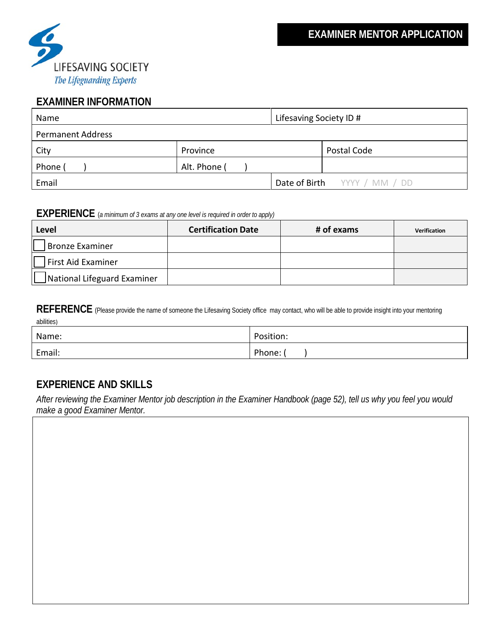

## **EXAMINER INFORMATION**

| Name                     |              | Lifesaving Society ID # |                              |
|--------------------------|--------------|-------------------------|------------------------------|
| <b>Permanent Address</b> |              |                         |                              |
| City                     | Province     |                         | Postal Code                  |
| Phone (                  | Alt. Phone ( |                         |                              |
| Email                    |              |                         | Date of Birth YYYY / MM / DD |

## **EXPERIENCE** (*a minimum of 3 exams at any one level is required in order to apply)*

| Level                       | <b>Certification Date</b> | # of exams | <b>Verification</b> |
|-----------------------------|---------------------------|------------|---------------------|
| Bronze Examiner             |                           |            |                     |
| First Aid Examiner          |                           |            |                     |
| National Lifeguard Examiner |                           |            |                     |

REFERENCE (Please provide the name of someone the Lifesaving Society office may contact, who will be able to provide insight into your mentoring abilities)

| Name:  | Position: |
|--------|-----------|
| Email: | Phone:    |

## **EXPERIENCE AND SKILLS**

*After reviewing the Examiner Mentor job description in the Examiner Handbook (page 52), tell us why you feel you would make a good Examiner Mentor.*